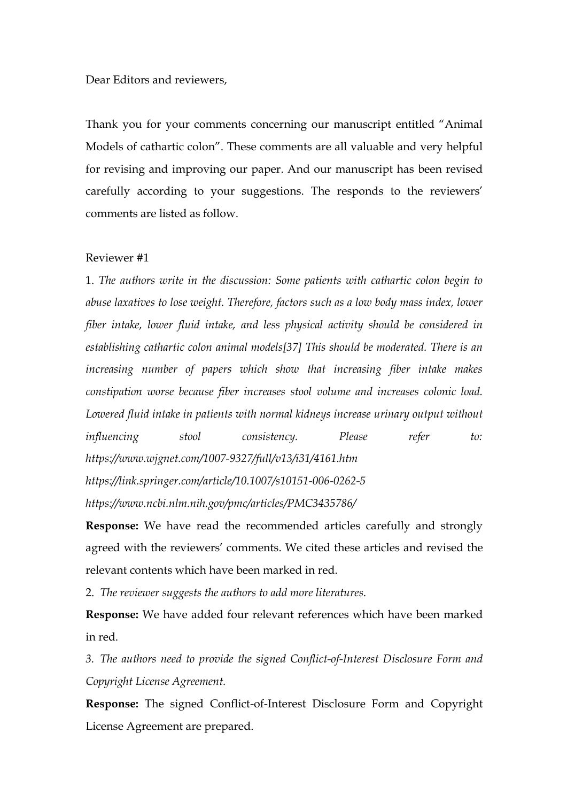Dear Editors and reviewers,

Thank you for your comments concerning our manuscript entitled "Animal Models of cathartic colon". These comments are all valuable and very helpful for revising and improving our paper. And our manuscript has been revised carefully according to your suggestions. The responds to the reviewers' comments are listed as follow.<br>Reviewer #1

1. *The authors write in the discussion: Some patients with cathartic colon begin to abuse laxatives to lose weight. Therefore, factors such as a low body mass index, lower fiber intake, lower fluid intake, and less physical activity should be considered in establishing cathartic colon animal models[37] This should be moderated. There is an increasing number of papers which show that increasing fiber intake makes constipation worse because fiber increases stool volume and increases colonic load. Lowered fluid intake in patients with normal kidneys increase urinary output without influencing stool consistency. Please refer to: https://www.wjgnet.com/1007-9327/full/v13/i31/4161.htm https://link.springer.com/article/10.1007/s10151-006-0262-5 https://www.ncbi.nlm.nih.gov/pmc/articles/PMC3435786/*

**Response:** We have read the recommended articles carefully and strongly agreed with the reviewers' comments. We cited these articles and revised the relevant contents which have been marked in red.

2. *The reviewer suggests the authors to add more literatures*.

**Response:** We have added four relevant references which have been marked in red.

*3. The authors need to provide the signed Conflict-of-Interest Disclosure Form and Copyright License Agreement.*

**Response:** The signed Conflict-of-Interest Disclosure Form and Copyright License Agreement are prepared.